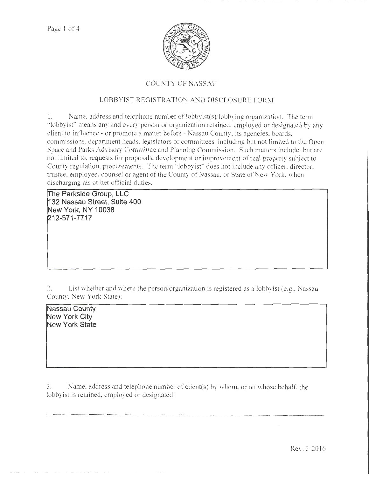

## COUNTY OF NASSAU

## LOBBYIST REGISTRATION AND DISCLOSURE FORM

1. Name, address and telephone number of lobbyist(s)/lobbying organization. The term ·'Jobbyisf' means any and every person or organization retained, employed or designated by any client to intluence - or promote a matter before -Nassau County, its agencies, boards, commissions, department heads, legislators or committees, including but not limited to the Open Space and Parks Advisory Committee and Planning Commission. Such matters include, but are not limited to, requests for proposals, development or improvement of real property subject to County regulation, procurements. The tenn '"lobbyist" does not include any officer, director, trustee, employee, counsel or agent of the County of Nassau, or State of New York, when discharging his or her official duties.

**irhe Parkside Group, LLC 132 Nassau Street, Suite 400 New York, NY 1 0038**  ~12-571-7717

2. List whether and where the person/organization is registered as a lobbyist (e.g., Nassau County, New York State):

**Nassau County New York City New York State** 

3. Name. address and telephone number of client(s) by whom. or on whose behalf, the lobbyist is retained, employed or designated: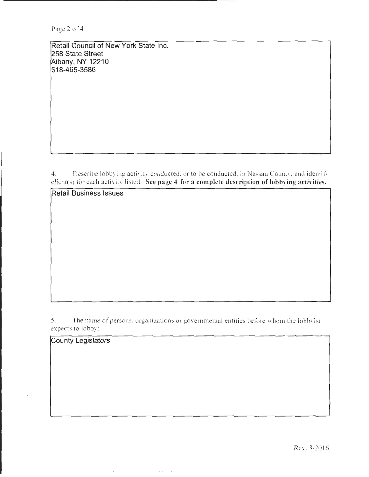Retail Council of New York State Inc. 258 State Street Albany, NY 12210 518-465-3586

4. Describe lobbying activity conducted. or to be conducted, in Nassau County, and identify client(s) for each activity listed. See page 4 for a complete description of lobbying activities.

Retail Business Issues

5. The name of persons, organizations or governmental entities before whom the lobbyist expects to lobby:

County Legislators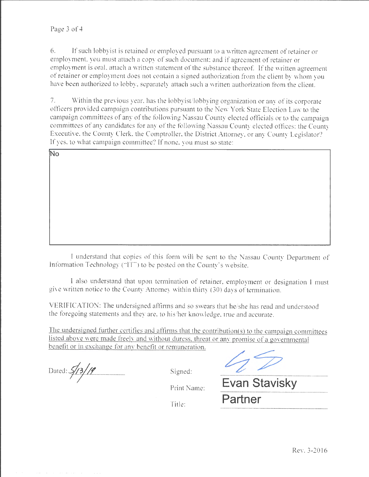6. If such lobbyist is retained or employed pursuant to a written agreement of retainer or employment, you must attach a copy of such document; and if agreement of retainer or employment is oral, attach a written statement of the substance thereof. If the written agreement of retainer or employment does not contain a signed authorization from the client by whom you have been authorized to lobby, separately attach such a written authorization from the client.

7. Within the previous year, has the lobbyist/lobbying organization or any of its corporate officers provided campaign contributions pursuant to the New York State Election Law to the campaign committees of any of the following Nassau County elected officials or to the campaign committees of any candidates tor any of the following Nassau County elected offices: the County Executive, the County Clerk, the Comptroller, the District Attorney, or any County Legislator? If yes, to what campaign committee? If none, you must so state:

| $\overline{No}$ |  |  |
|-----------------|--|--|
|                 |  |  |
|                 |  |  |
|                 |  |  |
|                 |  |  |
|                 |  |  |
|                 |  |  |
|                 |  |  |
|                 |  |  |
|                 |  |  |
|                 |  |  |
|                 |  |  |
|                 |  |  |
|                 |  |  |
|                 |  |  |
|                 |  |  |
|                 |  |  |
|                 |  |  |
|                 |  |  |
|                 |  |  |
|                 |  |  |
|                 |  |  |
|                 |  |  |
|                 |  |  |
|                 |  |  |
|                 |  |  |
|                 |  |  |
|                 |  |  |
|                 |  |  |
|                 |  |  |
|                 |  |  |
|                 |  |  |
|                 |  |  |
|                 |  |  |
|                 |  |  |
|                 |  |  |
|                 |  |  |
|                 |  |  |
|                 |  |  |
|                 |  |  |
|                 |  |  |
|                 |  |  |
|                 |  |  |
|                 |  |  |

I understand that copies of this form will be sent to the Nassau County Department of Information Technology ("IT") to be posted on the County's website.

I also understand that upon termination of retainer, employment or designation I must give written notice to the County Attorney within thirty (30) days of termination.

VERlFICATION: The undersigned affirms and so swears that he/she has read and understood the foregoing statements and they are, to his/her knowledge, tme and accurate.

The undersigned further certifies and affirms that the contribution(s) to the campaign committees listed above were made freely and without duress. threat or any promise of a governmental benefit or in exchange for any benefit or remuneration.

Dated:  $\frac{\sqrt{3}}{13}$  /19 Signed:

Print Name: **Evan Stavisky** 

Title: **Partner**